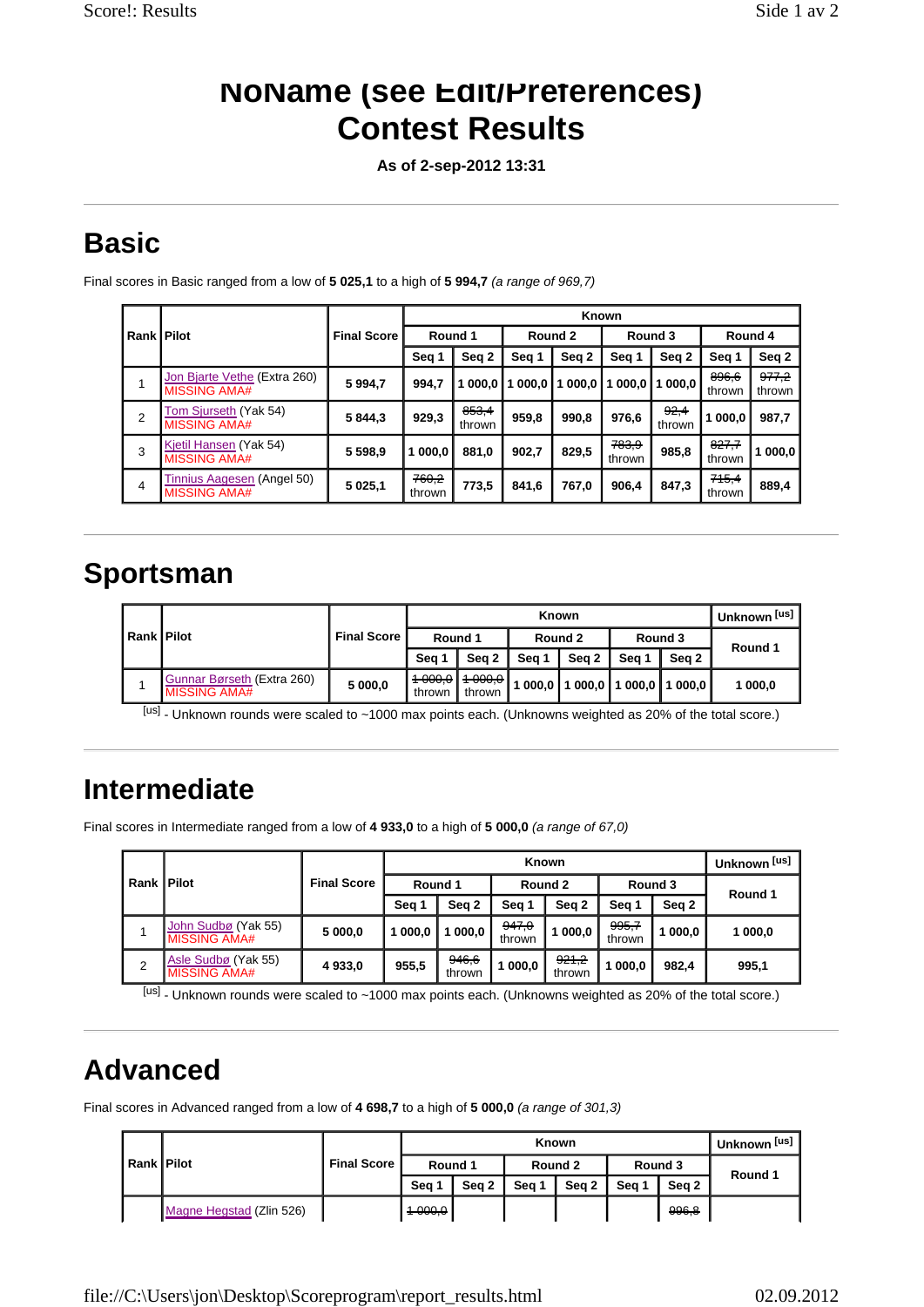### **NoName (see Edit/Preferences) Contest Results**

**As of 2-sep-2012 13:31** 

# **Basic**

Final scores in Basic ranged from a low of **5 025,1** to a high of **5 994,7** *(a range of 969,7)*

|                |                                                     |                    | Known           |                 |         |        |                 |                |                 |                            |
|----------------|-----------------------------------------------------|--------------------|-----------------|-----------------|---------|--------|-----------------|----------------|-----------------|----------------------------|
| Rank   Pilot   |                                                     | <b>Final Score</b> | Round 1         |                 | Round 2 |        | Round 3         |                | Round 4         |                            |
|                |                                                     |                    | Seg 1           | Seq 2           | Seg 1   | Seq 2  | Seg 1           | Seq 2          | Seg 1           | Seq 2                      |
|                | Jon Bjarte Vethe (Extra 260)<br><b>MISSING AMA#</b> | 5 9 9 4 , 7        | 994,7           | 1000.0          | 000,0   | 1000.0 | 1 000.0         | 1000,0         | 896,6<br>thrown | <del>977,2</del><br>thrown |
| $\overline{2}$ | Tom Sjurseth (Yak 54)<br><b>MISSING AMA#</b>        | 5844.3             | 929,3           | 853,4<br>thrown | 959,8   | 990.8  | 976,6           | 92,4<br>thrown | 000,0           | 987.7                      |
| 3              | Kjetil Hansen (Yak 54)<br><b>MISSING AMA#</b>       | 5 5 9 8 .9         | 000.0           | 881,0           | 902.7   | 829,5  | 783,9<br>thrown | 985,8          | 827,7<br>thrown | 000.0                      |
| 4              | Tinnius Aagesen (Angel 50)<br><b>MISSING AMA#</b>   | 5 0 2 5 , 1        | 760,2<br>thrown | 773,5           | 841,6   | 767,0  | 906,4           | 847,3          | 745,4<br>thrown | 889,4                      |

#### **Sportsman**

| Rank   Pilot |                                                   |                    |                              |                              |           | Known |                             |       | Unknown <sup>[us]</sup> |
|--------------|---------------------------------------------------|--------------------|------------------------------|------------------------------|-----------|-------|-----------------------------|-------|-------------------------|
|              |                                                   | <b>Final Score</b> | Round 1                      |                              | Round 2   |       | Round 3                     |       | Round 1                 |
|              |                                                   |                    | Sea 1                        | Sea 2                        | Sea 1     | Sea 2 | Sea 1                       | Sea 2 |                         |
|              | Gunnar Børseth (Extra 260)<br><b>MISSING AMA#</b> | 5 000,0            | <del>1 000.0</del><br>thrown | <del>1 000.0</del><br>thrown | 000.0   1 |       | ∣ 000,0   1 000,0   1 000,0 |       | 000.0                   |

[us] - Unknown rounds were scaled to ~1000 max points each. (Unknowns weighted as 20% of the total score.)

# **Intermediate**

Final scores in Intermediate ranged from a low of **4 933,0** to a high of **5 000,0** *(a range of 67,0)*

| <b>Rank Pilot</b> |                                            |                    |         |                 |                 | Known                      |                 |       | Unknown <sup>[us]</sup> |  |
|-------------------|--------------------------------------------|--------------------|---------|-----------------|-----------------|----------------------------|-----------------|-------|-------------------------|--|
|                   |                                            | <b>Final Score</b> | Round 1 |                 | Round 2         |                            | Round 3         |       | Round 1                 |  |
|                   |                                            |                    | Seg 1   | Seq 2           | Seg 1           | Seq 2                      | Seg 1           | Sea 2 |                         |  |
|                   | John Sudbø (Yak 55)<br><b>MISSING AMA#</b> | 5 000,0            | 000.0   | 000.0           | 947,0<br>thrown | 000.0                      | 995,7<br>thrown | 000.0 | 000,0                   |  |
| 2                 | Asle Sudbø (Yak 55)<br><b>MISSING AMA#</b> | 4 933,0            | 955,5   | 946,6<br>thrown | 000.0           | <del>921,2</del><br>thrown | 000,0           | 982.4 | 995,1                   |  |

[us] - Unknown rounds were scaled to ~1000 max points each. (Unknowns weighted as 20% of the total score.)

# **Advanced**

Final scores in Advanced ranged from a low of **4 698,7** to a high of **5 000,0** *(a range of 301,3)*

| l Rank   Pilot |                          |                      |                    |       |         | <b>Known</b> |         |                  | Unknown <sup>[us]</sup> |
|----------------|--------------------------|----------------------|--------------------|-------|---------|--------------|---------|------------------|-------------------------|
|                |                          | <b>Final Score I</b> | Round 1            |       | Round 2 |              | Round 3 |                  | Round 1                 |
|                |                          |                      | Sea 1              | Sea 2 | Sea 1   | Sea 2        | Sea 1   | Sea 2            |                         |
|                | Magne Hegstad (Zlin 526) |                      | <del>1 000.0</del> |       |         |              |         | <del>996.8</del> |                         |